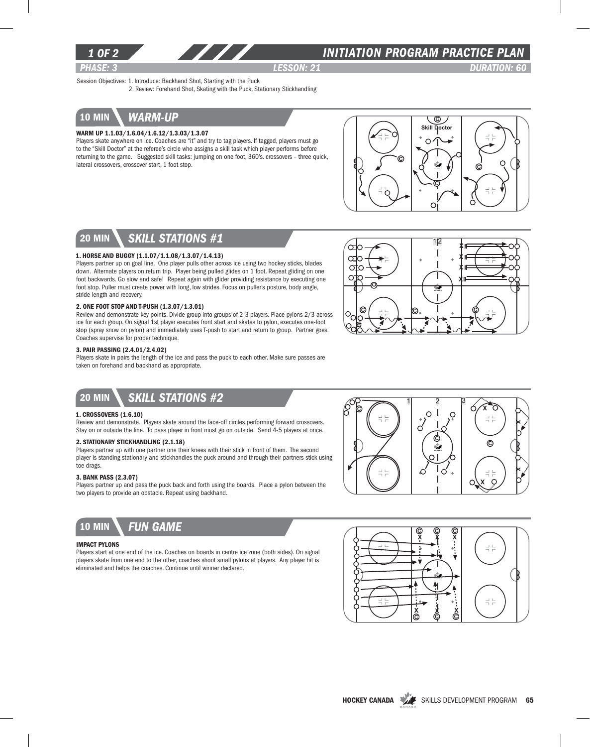

## *INITIATION program PRACTICE PLAN*

*PHASE: 3 lesson: 21 DURATION: 60* 

Session Objectives: 1. Introduce: Backhand Shot, Starting with the Puck 2. Review: Forehand Shot, Skating with the Puck, Stationary Stickhandling

10 min *warm-up*

### Warm Up 1.1.03/1.6.04/1.6.12/1.3.03/1.3.07

Players skate anywhere on ice. Coaches are "it" and try to tag players. If tagged, players must go to the "Skill Doctor" at the referee's circle who assigns a skill task which player performs before returning to the game. Suggested skill tasks: jumping on one foot, 360's. crossovers – three quick, lateral crossovers, crossover start, 1 foot stop.



112

X X X X

# 20 min *skill stations #1*

## 1. Horse and Buggy (1.1.07/1.1.08/1.3.07/1.4.13)

Players partner up on goal line. One player pulls other across ice using two hockey sticks, blades down. Alternate players on return trip. Player being pulled glides on 1 foot. Repeat gliding on one foot backwards. Go slow and safe! Repeat again with glider providing resistance by executing one foot stop. Puller must create power with long, low strides. Focus on puller's posture, body angle, stride length and recovery.

#### 2. One Foot Stop and T-Push (1.3.07/1.3.01)

Review and demonstrate key points. Divide group into groups of 2-3 players. Place pylons 2/3 across ice for each group. On signal 1st player executes front start and skates to pylon, executes one-foot stop (spray snow on pylon) and immediately uses T-push to start and return to group. Partner goes. Coaches supervise for proper technique.

#### 3. Pair Passing (2.4.01/2.4.02)

Players skate in pairs the length of the ice and pass the puck to each other. Make sure passes are taken on forehand and backhand as appropriate.

# 20 min *Skill stations #2*

### 1. Crossovers (1.6.10)

Review and demonstrate. Players skate around the face-off circles performing forward crossovers. Stay on or outside the line. To pass player in front must go on outside. Send 4-5 players at once.

## 2. Stationary Stickhandling (2.1.18)

Players partner up with one partner one their knees with their stick in front of them. The second player is standing stationary and stickhandles the puck around and through their partners stick using toe drags.

### 3. Bank Pass (2.3.07)

Players partner up and pass the puck back and forth using the boards. Place a pylon between the two players to provide an obstacle. Repeat using backhand.



ပ

oto

Ω ∩



#### Impact Pylons

Players start at one end of the ice. Coaches on boards in centre ice zone (both sides). On signal players skate from one end to the other, coaches shoot small pylons at players. Any player hit is eliminated and helps the coaches. Continue until winner declared.